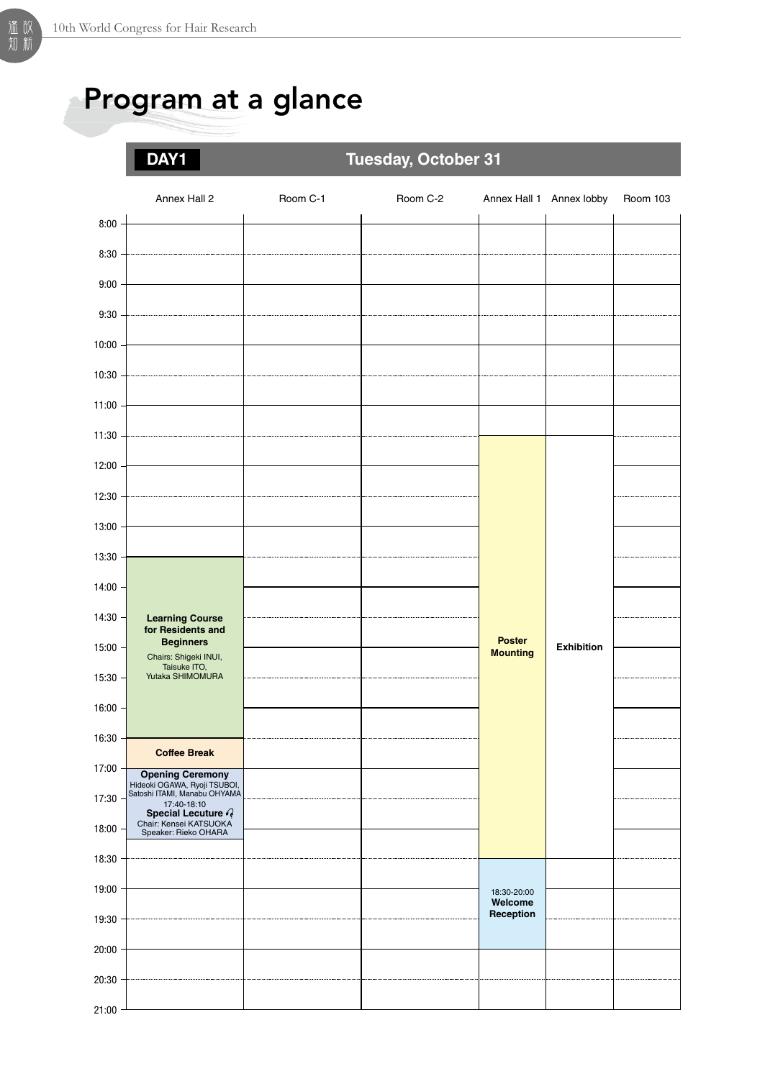## Program at a glance

## **Tuesday, October 31** Annex Hall 2 Room C-1 Room C-2 Annex Hall 1 Annex lobby Room 103  $8:00$ 8:30 9:00 9:30 10:00 10:30 11:00 11:30 12:00 12:30 13:00 13:30 14:00  $14:30$ 15:00 15:30 16:00 16:30 17:00 17:30 18:00 18:30 19:00 19:30 20:00 20:30 **Poster Mounting Exhibition Learning Course for Residents and Beginners** Chairs: Shigeki INUI, Taisuke ITO, Yutaka SHIMOMURA **Coffee Break Opening Ceremony**<br>Hideoki OGAWA, Ryoji TSUBOI,<br>Satoshi ITAMI, Manabu OHYAMA 17:40-18:10 **Special Lecuture** Chair: Kensei KATSUOKA Speaker: Rieko OHARA 18:30-20:00 **Welcome Reception** 21:00 **DAY1**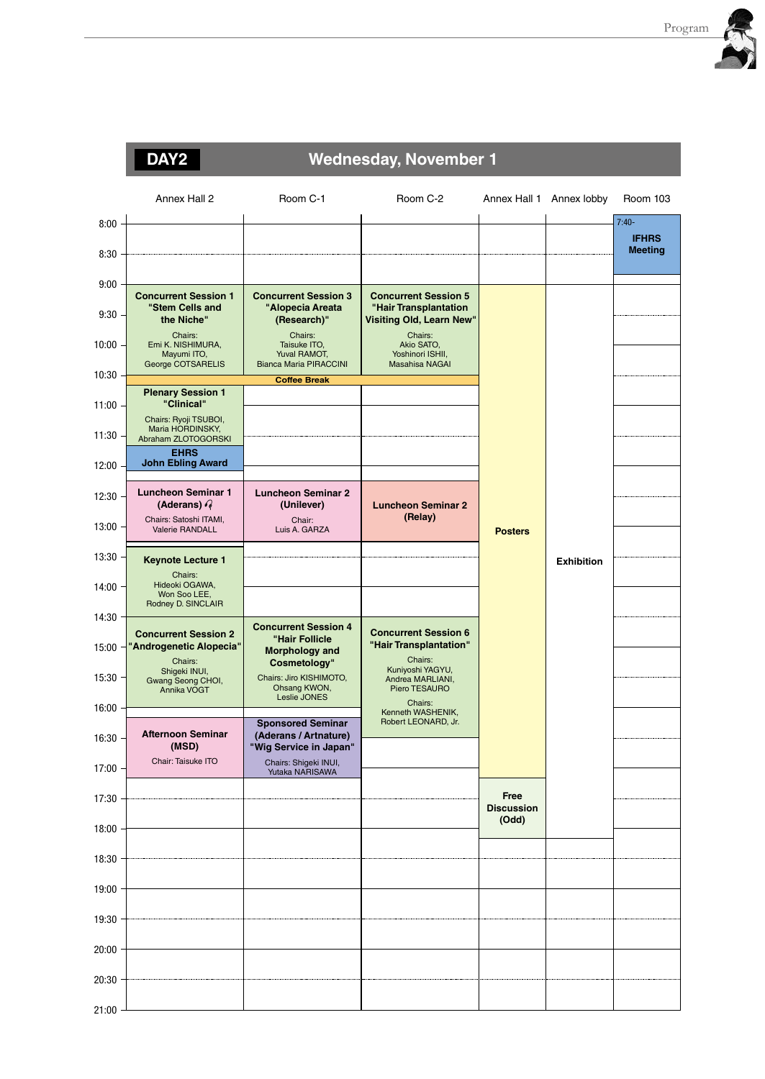r

| 74<br>۸۱.<br>n |
|----------------|
|----------------|

## **Wednesday, November 1**

|           | Annex Hall 2                                                            | Room C-1                                                                    | Room C-2                                                                         | Annex Hall 1 Annex lobby  |                   | Room 103                |
|-----------|-------------------------------------------------------------------------|-----------------------------------------------------------------------------|----------------------------------------------------------------------------------|---------------------------|-------------------|-------------------------|
| 8:00      |                                                                         |                                                                             |                                                                                  |                           |                   | $7:40-$<br><b>IFHRS</b> |
| 8:30      |                                                                         |                                                                             |                                                                                  |                           |                   | <b>Meeting</b>          |
| 9:00      |                                                                         |                                                                             |                                                                                  |                           |                   |                         |
| 9:30      | <b>Concurrent Session 1</b><br>"Stem Cells and<br>the Niche"            | <b>Concurrent Session 3</b><br>"Alopecia Areata<br>(Research)"              | <b>Concurrent Session 5</b><br>"Hair Transplantation<br>Visiting Old, Learn New" |                           |                   |                         |
| $10:00 -$ | Chairs:<br>Emi K. NISHIMURA,<br>Mayumi ITO,<br><b>George COTSARELIS</b> | Chairs:<br>Taisuke ITO,<br>Yuval RAMOT,<br><b>Bianca Maria PIRACCINI</b>    | Chairs:<br>Akio SATO,<br>Yoshinori ISHII,<br><b>Masahisa NAGAI</b>               |                           |                   |                         |
| 10:30     |                                                                         | <b>Coffee Break</b>                                                         |                                                                                  |                           |                   |                         |
| 11:00     | <b>Plenary Session 1</b><br>"Clinical"                                  |                                                                             |                                                                                  |                           |                   |                         |
| 11:30     | Chairs: Ryoji TSUBOI,<br>Maria HORDINSKY,<br>Abraham ZLOTOGORSKI        |                                                                             |                                                                                  |                           |                   |                         |
| $12:00 -$ | <b>EHRS</b><br><b>John Ebling Award</b>                                 |                                                                             |                                                                                  |                           |                   |                         |
| $12:30 -$ | <b>Luncheon Seminar 1</b><br>(Aderans) $Q$                              | <b>Luncheon Seminar 2</b><br>(Unilever)                                     | <b>Luncheon Seminar 2</b>                                                        |                           |                   |                         |
| $13:00 -$ | Chairs: Satoshi ITAMI,<br>Valerie RANDALL                               | Chair:<br>Luis A. GARZA                                                     | (Relay)                                                                          | <b>Posters</b>            |                   |                         |
| 13:30     | <b>Keynote Lecture 1</b>                                                |                                                                             |                                                                                  |                           | <b>Exhibition</b> |                         |
| $14:00 -$ | Chairs:<br>Hideoki OGAWA,<br>Won Soo LEE,<br>Rodney D. SINCLAIR         |                                                                             |                                                                                  |                           |                   |                         |
| 14:30     |                                                                         | <b>Concurrent Session 4</b>                                                 |                                                                                  |                           |                   |                         |
| $15:00 -$ | <b>Concurrent Session 2</b><br>"Androgenetic Alopecia"                  | "Hair Follicle<br>Morphology and                                            | <b>Concurrent Session 6</b><br>"Hair Transplantation"                            |                           |                   |                         |
| $15:30 -$ | Chairs:<br>Shigeki INUI,<br>Gwang Seong CHOI,<br>Annika VOGT            | Cosmetology"<br>Chairs: Jiro KISHIMOTO,<br>Ohsang KWON,<br>Leslie JONES     | Chairs:<br>Kuniyoshi YAGYU,<br>Andrea MARLIANI,<br>Piero TESAURO                 |                           |                   |                         |
| 16:00     |                                                                         |                                                                             | Chairs:<br>Kenneth WASHENIK,                                                     |                           |                   |                         |
| 16:30     | <b>Afternoon Seminar</b><br>(MSD)                                       | <b>Sponsored Seminar</b><br>(Aderans / Artnature)<br>"Wig Service in Japan" | Robert LEONARD, Jr.                                                              |                           |                   |                         |
| 17:00     | Chair: Taisuke ITO                                                      | Chairs: Shigeki INUI,<br>Yutaka NARISAWA                                    |                                                                                  |                           |                   |                         |
| 17:30     |                                                                         |                                                                             |                                                                                  | Free<br><b>Discussion</b> |                   |                         |
| 18:00     |                                                                         |                                                                             |                                                                                  | (Odd)                     |                   |                         |
| 18:30     |                                                                         |                                                                             |                                                                                  |                           |                   |                         |
| 19:00     |                                                                         |                                                                             |                                                                                  |                           |                   |                         |
| 19:30     |                                                                         |                                                                             |                                                                                  |                           |                   |                         |
| 20:00     |                                                                         |                                                                             |                                                                                  |                           |                   |                         |
| 20:30     |                                                                         |                                                                             |                                                                                  |                           |                   |                         |
| 21:00     |                                                                         |                                                                             |                                                                                  |                           |                   |                         |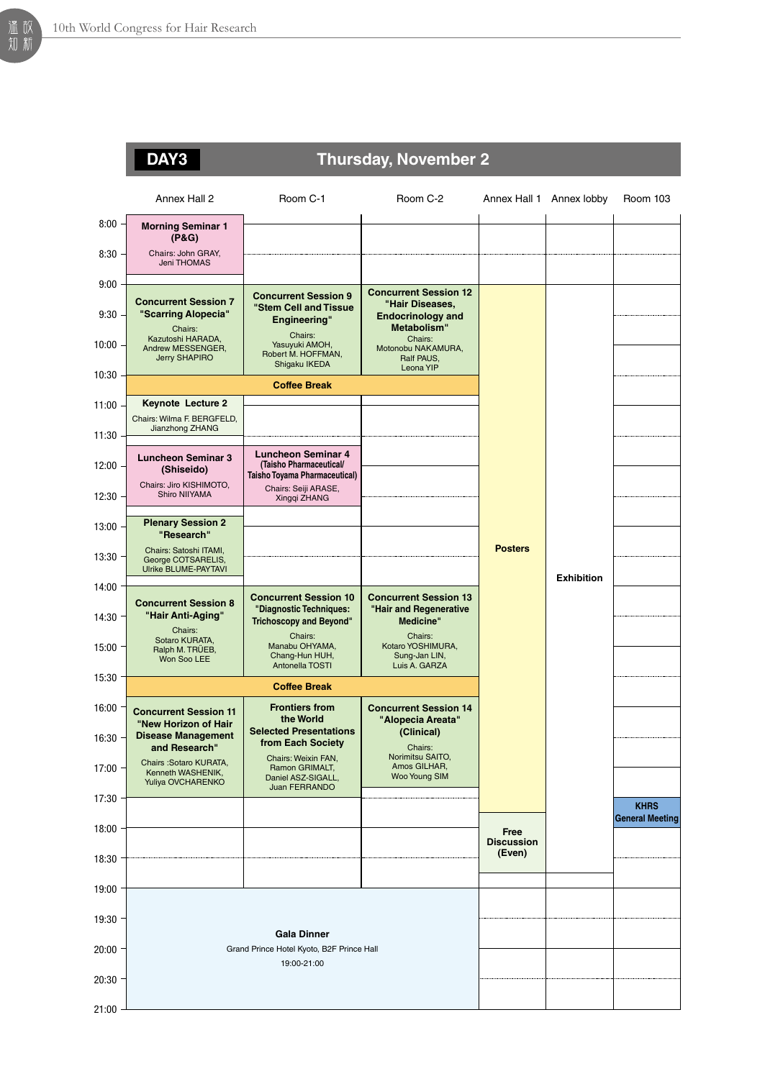|          |                                                                      | <b>Thursday, November 2</b>                                                                  |                                                                |                           |                   |                        |
|----------|----------------------------------------------------------------------|----------------------------------------------------------------------------------------------|----------------------------------------------------------------|---------------------------|-------------------|------------------------|
|          | Annex Hall 2                                                         | Room C-1                                                                                     | Room C-2                                                       | Annex Hall 1              | Annex lobby       | <b>Room 103</b>        |
| 8:00     | <b>Morning Seminar 1</b><br>(P&G)                                    |                                                                                              |                                                                |                           |                   |                        |
| $8:30 -$ | Chairs: John GRAY,<br>Jeni THOMAS                                    |                                                                                              |                                                                |                           |                   |                        |
| 9:00     | <b>Concurrent Session 7</b>                                          | <b>Concurrent Session 9</b>                                                                  | <b>Concurrent Session 12</b>                                   |                           |                   |                        |
| 9:30     | "Scarring Alopecia"<br>Chairs:                                       | "Stem Cell and Tissue<br>Engineering"                                                        | "Hair Diseases.<br><b>Endocrinology and</b><br>Metabolism"     |                           |                   |                        |
| 10:00    | Kazutoshi HARADA,<br>Andrew MESSENGER,<br><b>Jerry SHAPIRO</b>       | Chairs:<br>Yasuvuki AMOH.<br>Robert M. HOFFMAN,<br>Shigaku IKEDA                             | Chairs:<br>Motonobu NAKAMURA,<br>Ralf PAUS,<br>Leona YIP       |                           |                   |                        |
| 10:30    |                                                                      | <b>Coffee Break</b>                                                                          |                                                                |                           |                   |                        |
| 11:00    | Keynote Lecture 2<br>Chairs: Wilma F. BERGFELD,                      |                                                                                              |                                                                |                           |                   |                        |
| 11:30    | Jianzhong ZHANG                                                      |                                                                                              |                                                                |                           |                   |                        |
| 12:00    | <b>Luncheon Seminar 3</b><br>(Shiseido)                              | <b>Luncheon Seminar 4</b><br>(Taisho Pharmaceutical/<br><b>Taisho Toyama Pharmaceutical)</b> |                                                                |                           |                   |                        |
| 12:30    | Chairs: Jiro KISHIMOTO,<br>Shiro NIIYAMA                             | Chairs: Seiji ARASE,<br>Xingqi ZHANG                                                         |                                                                |                           |                   |                        |
| 13:00    | <b>Plenary Session 2</b><br>"Research"                               |                                                                                              |                                                                |                           |                   |                        |
| 13:30    | Chairs: Satoshi ITAMI,<br>George COTSARELIS,<br>Ulrike BLUME-PAYTAVI |                                                                                              |                                                                | <b>Posters</b>            | <b>Exhibition</b> |                        |
| 14:00    |                                                                      | <b>Concurrent Session 10</b>                                                                 | <b>Concurrent Session 13</b>                                   |                           |                   |                        |
| 14:30    | <b>Concurrent Session 8</b><br>"Hair Anti-Aging"<br>Chairs:          | "Diagnostic Techniques:<br><b>Trichoscopy and Beyond"</b>                                    | "Hair and Regenerative<br>Medicine"                            |                           |                   |                        |
| 15:00    | Sotaro KURATA,<br>Ralph M. TRÜEB,<br>Won Soo LEE                     | Chairs:<br>Manabu OHYAMA,<br>Chang-Hun HUH,<br>Antonella TOSTI                               | Chairs:<br>Kotaro YOSHIMURA,<br>Sung-Jan LIN,<br>Luis A. GARZA |                           |                   |                        |
| 15:30    |                                                                      | <b>Coffee Break</b>                                                                          |                                                                |                           |                   |                        |
| 16:00    | <b>Concurrent Session 11</b><br>"New Horizon of Hair                 | <b>Frontiers from</b><br>the World                                                           | <b>Concurrent Session 14</b><br>"Alopecia Areata"              |                           |                   |                        |
| 16:30    | <b>Disease Management</b><br>and Research"                           | <b>Selected Presentations</b><br>from Each Society                                           | (Clinical)<br>Chairs:<br>Norimitsu SAITO,                      |                           |                   |                        |
| 17:00    | Chairs : Sotaro KURATA,<br>Kenneth WASHENIK,<br>Yuliya OVCHARENKO    | Chairs: Weixin FAN,<br>Ramon GRIMALT,<br>Daniel ASZ-SIGALL.<br>Juan FERRANDO                 | Amos GILHAR,<br>Woo Young SIM                                  |                           |                   |                        |
| 17:30    |                                                                      |                                                                                              |                                                                |                           |                   | <b>KHRS</b>            |
| 18:00    |                                                                      |                                                                                              |                                                                | Free<br><b>Discussion</b> |                   | <b>General Meeting</b> |
| 18:30    |                                                                      |                                                                                              |                                                                | (Even)                    |                   |                        |
| 19:00    |                                                                      |                                                                                              |                                                                |                           |                   |                        |
| 19:30    |                                                                      | <b>Gala Dinner</b>                                                                           |                                                                |                           |                   |                        |
| 20:00    | Grand Prince Hotel Kyoto, B2F Prince Hall<br>19:00-21:00             |                                                                                              |                                                                |                           |                   |                        |
| 20:30    |                                                                      |                                                                                              |                                                                |                           |                   |                        |
| 21:00    |                                                                      |                                                                                              |                                                                |                           |                   |                        |